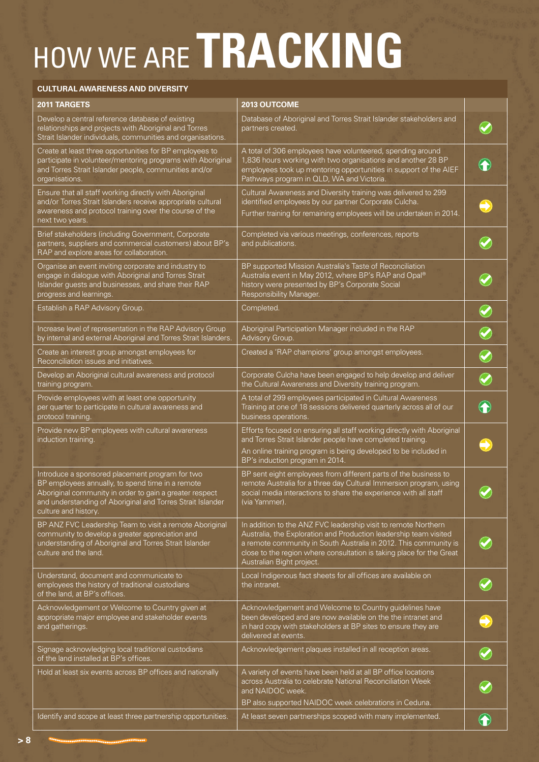## HOW WE ARE **TRACKING**

## **CULTURAL AWARENESS AND DIVERSITY**

| 2011 TARGETS                                                                                                                                                                                                                                         | 2013 OUTCOME                                                                                                                                                                                                                                                                                                 |            |
|------------------------------------------------------------------------------------------------------------------------------------------------------------------------------------------------------------------------------------------------------|--------------------------------------------------------------------------------------------------------------------------------------------------------------------------------------------------------------------------------------------------------------------------------------------------------------|------------|
| Develop a central reference database of existing<br>relationships and projects with Aboriginal and Torres<br>Strait Islander individuals, communities and organisations.                                                                             | Database of Aboriginal and Torres Strait Islander stakeholders and<br>partners created.                                                                                                                                                                                                                      |            |
| Create at least three opportunities for BP employees to<br>participate in volunteer/mentoring programs with Aboriginal<br>and Torres Strait Islander people, communities and/or<br>organisations.                                                    | A total of 306 employees have volunteered, spending around<br>1,836 hours working with two organisations and another 28 BP<br>employees took up mentoring opportunities in support of the AIEF<br>Pathways program in QLD, WA and Victoria.                                                                  |            |
| Ensure that all staff working directly with Aboriginal<br>and/or Torres Strait Islanders receive appropriate cultural<br>awareness and protocol training over the course of the<br>next two years.                                                   | Cultural Awareness and Diversity training was delivered to 299<br>identified employees by our partner Corporate Culcha.<br>Further training for remaining employees will be undertaken in 2014.                                                                                                              |            |
| Brief stakeholders (including Government, Corporate<br>partners, suppliers and commercial customers) about BP's<br>RAP and explore areas for collaboration.                                                                                          | Completed via various meetings, conferences, reports<br>and publications.                                                                                                                                                                                                                                    |            |
| Organise an event inviting corporate and industry to<br>engage in dialogue with Aboriginal and Torres Strait<br>Islander guests and businesses, and share their RAP<br>progress and learnings.                                                       | BP supported Mission Australia's Taste of Reconciliation<br>Australia event in May 2012, where BP's RAP and Opal®<br>history were presented by BP's Corporate Social<br>Responsibility Manager.                                                                                                              |            |
| Establish a RAP Advisory Group.                                                                                                                                                                                                                      | Completed.                                                                                                                                                                                                                                                                                                   |            |
| Increase level of representation in the RAP Advisory Group<br>by internal and external Aboriginal and Torres Strait Islanders.                                                                                                                       | Aboriginal Participation Manager included in the RAP<br>Advisory Group.                                                                                                                                                                                                                                      |            |
| Create an interest group amongst employees for<br>Reconciliation issues and initiatives.                                                                                                                                                             | Created a 'RAP champions' group amongst employees.                                                                                                                                                                                                                                                           | $\bigcirc$ |
| Develop an Aboriginal cultural awareness and protocol<br>training program.                                                                                                                                                                           | Corporate Culcha have been engaged to help develop and deliver<br>the Cultural Awareness and Diversity training program.                                                                                                                                                                                     |            |
| Provide employees with at least one opportunity<br>per quarter to participate in cultural awareness and<br>protocol training.                                                                                                                        | A total of 299 employees participated in Cultural Awareness<br>Training at one of 18 sessions delivered quarterly across all of our<br>business operations.                                                                                                                                                  |            |
| Provide new BP employees with cultural awareness<br>induction training.                                                                                                                                                                              | Efforts focused on ensuring all staff working directly with Aboriginal<br>and Torres Strait Islander people have completed training.<br>An online training program is being developed to be included in<br>BP's induction program in 2014.                                                                   |            |
| Introduce a sponsored placement program for two<br>BP employees annually, to spend time in a remote<br>Aboriginal community in order to gain a greater respect<br>and understanding of Aboriginal and Torres Strait Islander<br>culture and history. | BP sent eight employees from different parts of the business to<br>remote Australia for a three day Cultural Immersion program, using<br>social media interactions to share the experience with all staff<br>(via Yammer).                                                                                   |            |
| BP ANZ FVC Leadership Team to visit a remote Aboriginal<br>community to develop a greater appreciation and<br>understanding of Aboriginal and Torres Strait Islander<br>culture and the land.                                                        | In addition to the ANZ FVC leadership visit to remote Northern<br>Australia, the Exploration and Production leadership team visited<br>a remote community in South Australia in 2012. This community is<br>close to the region where consultation is taking place for the Great<br>Australian Bight project. |            |
| Understand, document and communicate to<br>employees the history of traditional custodians<br>of the land, at BP's offices.                                                                                                                          | Local Indigenous fact sheets for all offices are available on<br>the intranet.                                                                                                                                                                                                                               |            |
| Acknowledgement or Welcome to Country given at<br>appropriate major employee and stakeholder events<br>and gatherings.                                                                                                                               | Acknowledgement and Welcome to Country guidelines have<br>been developed and are now available on the the intranet and<br>in hard copy with stakeholders at BP sites to ensure they are<br>delivered at events.                                                                                              |            |
| Signage acknowledging local traditional custodians<br>of the land installed at BP's offices.                                                                                                                                                         | Acknowledgement plaques installed in all reception areas.                                                                                                                                                                                                                                                    |            |
| Hold at least six events across BP offices and nationally                                                                                                                                                                                            | A variety of events have been held at all BP office locations<br>across Australia to celebrate National Reconciliation Week<br>and NAIDOC week.                                                                                                                                                              |            |
|                                                                                                                                                                                                                                                      | BP also supported NAIDOC week celebrations in Ceduna.                                                                                                                                                                                                                                                        |            |
| Identify and scope at least three partnership opportunities.                                                                                                                                                                                         | At least seven partnerships scoped with many implemented.                                                                                                                                                                                                                                                    |            |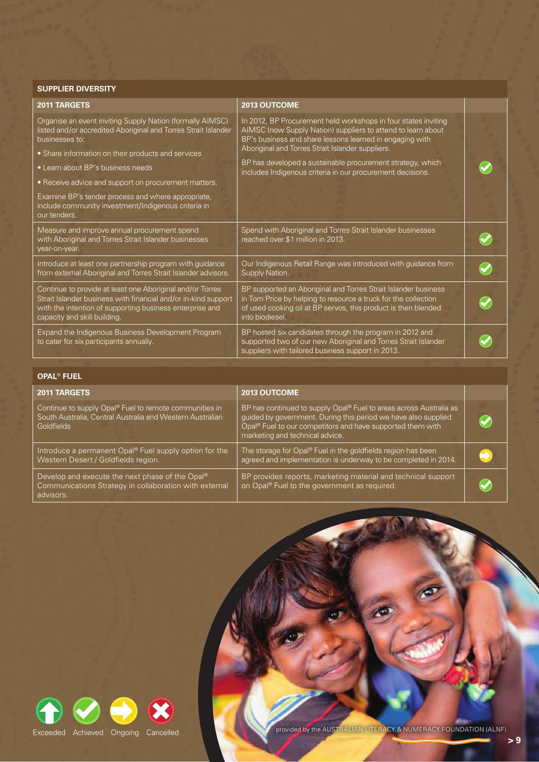## **SUPPLIER DIVERSITY**

| <b>2011 TARGETS</b>                                                                                                                                                                                                     | <b>2013 OUTCOME</b>                                                                                                                                                                                                   |  |
|-------------------------------------------------------------------------------------------------------------------------------------------------------------------------------------------------------------------------|-----------------------------------------------------------------------------------------------------------------------------------------------------------------------------------------------------------------------|--|
| Organise an event inviting Supply Nation (formally AIMSC)<br>listed and/or accredited Aboriginal and Torres Strait Islander<br>businesses to:                                                                           | In 2012, BP Procurement held workshops in four states inviting<br>AIMSC (now Supply Nation) suppliers to attend to learn about<br>BP's business and share lessons learned in engaging with                            |  |
| • Share information on their products and services                                                                                                                                                                      | Aboriginal and Torres Strait Islander suppliers.                                                                                                                                                                      |  |
| • Learn about BP's business needs                                                                                                                                                                                       | BP has developed a sustainable procurement strategy, which<br>includes Indigenous criteria in our procurement decisions.                                                                                              |  |
| • Receive advice and support on procurement matters.                                                                                                                                                                    |                                                                                                                                                                                                                       |  |
| Examine BP's tender process and where appropriate,<br>include community investment/Indigenous criteria in<br>our tenders.                                                                                               |                                                                                                                                                                                                                       |  |
| Measure and improve annual procurement spend<br>with Aboriginal and Torres Strait Islander businesses<br>year-on-year.                                                                                                  | Spend with Aboriginal and Torres Strait Islander businesses<br>reached over \$1 million in 2013.                                                                                                                      |  |
| Introduce at least one partnership program with guidance<br>from external Aboriginal and Torres Strait Islander advisors.                                                                                               | Our Indigenous Retail Range was introduced with guidance from<br>Supply Nation.                                                                                                                                       |  |
| Continue to provide at least one Aboriginal and/or Torres<br>Strait Islander business with financial and/or in-kind support<br>with the intention of supporting business enterprise and<br>capacity and skill building. | BP supported an Aboriginal and Torres Strait Islander business<br>in Tom Price by helping to resource a truck for the collection<br>of used cooking oil at BP servos, this product is then blended<br>into biodiesel. |  |
| Expand the Indigenous Business Development Program<br>to cater for six participants annually.                                                                                                                           | BP hosted six candidates through the program in 2012 and<br>supported two of our new Aboriginal and Torres Strait Islander<br>suppliers with tailored business support in 2013.                                       |  |

| <b>OPAL<sup>®</sup> FUEL</b>                                                                                                             |                                                                                                                                                                                                                                                               |  |  |  |
|------------------------------------------------------------------------------------------------------------------------------------------|---------------------------------------------------------------------------------------------------------------------------------------------------------------------------------------------------------------------------------------------------------------|--|--|--|
| <b>2011 TARGETS</b>                                                                                                                      | 2013 OUTCOME                                                                                                                                                                                                                                                  |  |  |  |
| Continue to supply Opal® Fuel to remote communities in<br>South Australia, Central Australia and Western Australian<br><b>Goldfields</b> | BP has continued to supply Opal <sup>®</sup> Fuel to areas across Australia as<br>guided by government. During this period we have also supplied<br>Opal <sup>®</sup> Fuel to our competitors and have supported them with<br>marketing and technical advice. |  |  |  |
| Introduce a permanent Opal® Fuel supply option for the<br>Western Desert / Goldfields region.                                            | The storage for Opal® Fuel in the goldfields region has been<br>agreed and implementation is underway to be completed in 2014.                                                                                                                                |  |  |  |
| Develop and execute the next phase of the Opal®<br>Communications Strategy in collaboration with external<br>advisors.                   | BP provides reports, marketing material and technical support<br>on Opal <sup>®</sup> Fuel to the government as required.                                                                                                                                     |  |  |  |